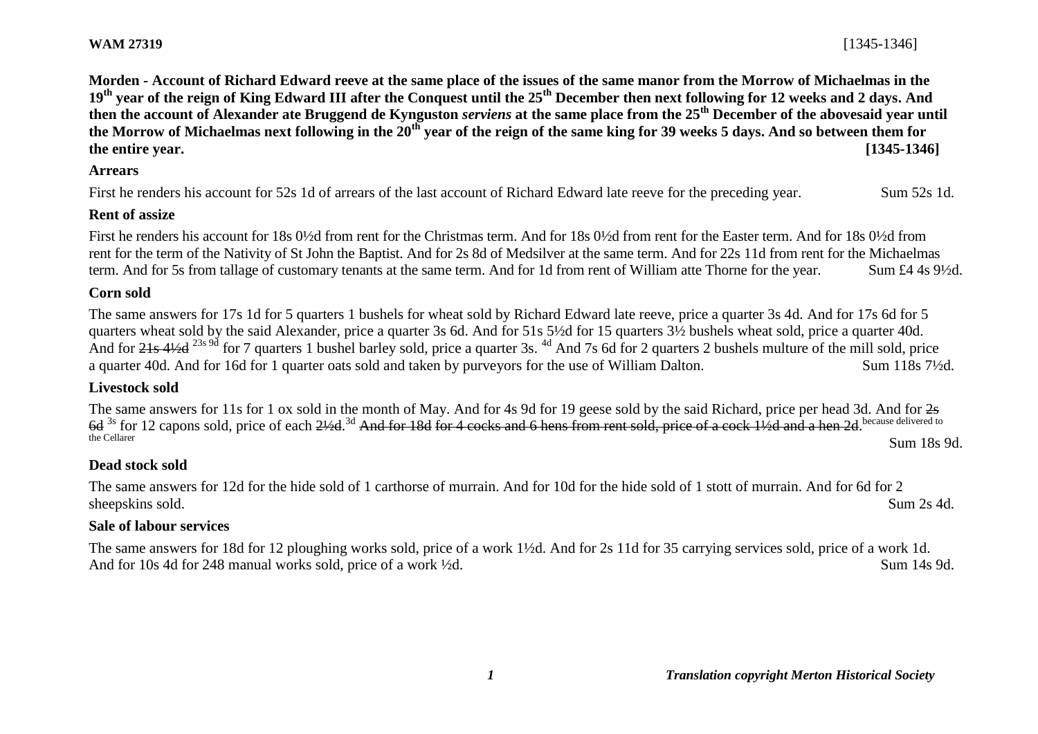**Morden - Account of Richard Edward reeve at the same place of the issues of the same manor from the Morrow of Michaelmas in the 19th year of the reign of King Edward III after the Conquest until the 25th December then next following for 12 weeks and 2 days. And then the account of Alexander ate Bruggend de Kynguston** *serviens* **at the same place from the 25th December of the abovesaid year until the Morrow of Michaelmas next following in the 20th year of the reign of the same king for 39 weeks 5 days. And so between them for the entire year. [1345-1346]**

#### **Arrears**

First he renders his account for 52s 1d of arrears of the last account of Richard Edward late reeve for the preceding year. Sum 52s 1d.

### **Rent of assize**

First he renders his account for 18s 0<sup>1/2</sup>d from rent for the Christmas term. And for 18s 0<sup>1/2</sup>d from rent for the Easter term. And for 18s 0<sup>1/2</sup>d from rent for the term of the Nativity of St John the Baptist. And for 2s 8d of Medsilver at the same term. And for 22s 11d from rent for the Michaelmas term. And for 5s from tallage of customary tenants at the same term. And for 1d from rent of William atte Thorne for the year. Sum £4 4s 9½d.

### **Corn sold**

The same answers for 17s 1d for 5 quarters 1 bushels for wheat sold by Richard Edward late reeve, price a quarter 3s 4d. And for 17s 6d for 5 quarters wheat sold by the said Alexander, price a quarter 3s 6d. And for 51s 5½d for 15 quarters 3½ bushels wheat sold, price a quarter 40d. And for 21s 4½d <sup>23s 9d</sup> for 7 quarters 1 bushel barley sold, price a quarter 3s. <sup>4d</sup> And 7s 6d for 2 quarters 2 bushels multure of the mill sold, price a quarter 40d. And for 16d for 1 quarter oats sold and taken by purveyors for the use of William Dalton. Sum 118s 7½d.

### **Livestock sold**

The same answers for 11s for 1 ox sold in the month of May. And for 4s 9d for 19 geese sold by the said Richard, price per head 3d. And for  $2s$ 6d <sup>3s</sup> for 12 capons sold, price of each 21/2d.<sup>3d</sup> And for 18d for 4 cocks and 6 hens from rent sold, price of a cock 11/2d and a hen 2d. because delivered to the Cellarer Sum 18s 9d.

# **Dead stock sold**

The same answers for 12d for the hide sold of 1 carthorse of murrain. And for 10d for the hide sold of 1 stott of murrain. And for 6d for 2 sheepskins sold. Sum 2s 4d.

### **Sale of labour services**

The same answers for 18d for 12 ploughing works sold, price of a work 1½d. And for 2s 11d for 35 carrying services sold, price of a work 1d. And for 10s 4d for 248 manual works sold, price of a work  $\frac{1}{2}d$ . Sum 14s 9d.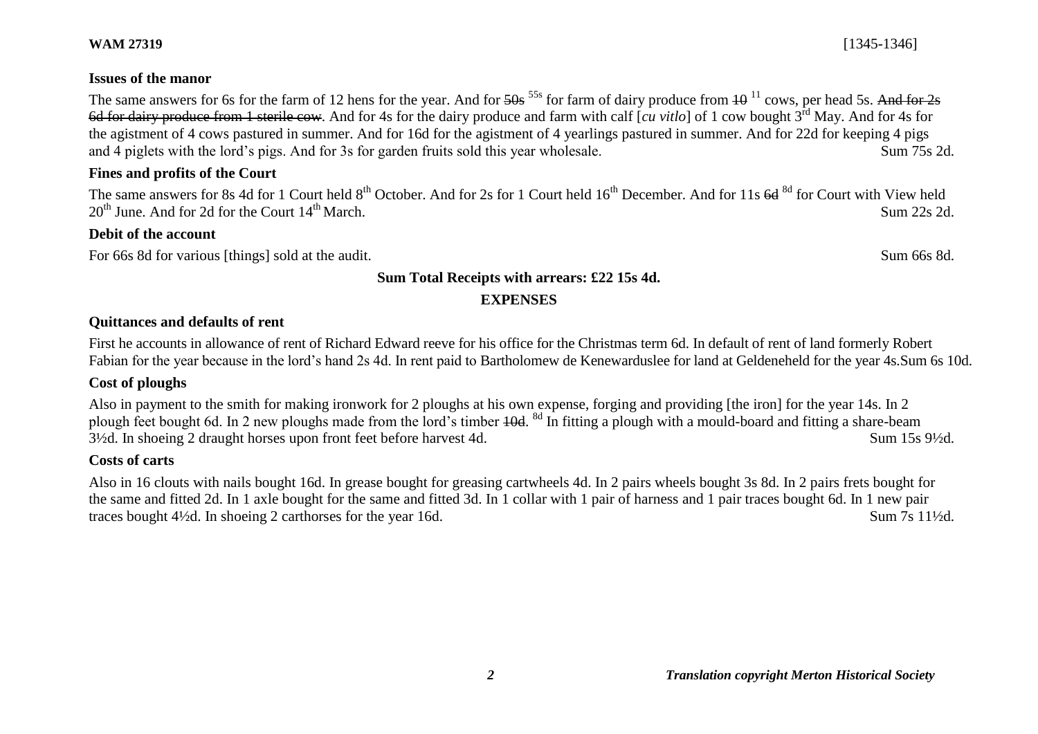# **Issues of the manor**

The same answers for 6s for the farm of 12 hens for the year. And for  $\frac{50s}{100}$  55s for farm of dairy produce from  $\frac{10^{11}}{100}$  cows, per head 5s. And for 2s 6d for dairy produce from 1 sterile cow. And for 4s for the dairy produce and farm with calf [*cu vitlo*] of 1 cow bought 3rd May. And for 4s for the agistment of 4 cows pastured in summer. And for 16d for the agistment of 4 yearlings pastured in summer. And for 22d for keeping 4 pigs and 4 piglets with the lord's pigs. And for 3s for garden fruits sold this year wholesale. Sum 75s 2d.

# **Fines and profits of the Court**

The same answers for 8s 4d for 1 Court held 8<sup>th</sup> October. And for 2s for 1 Court held 16<sup>th</sup> December. And for 11s 6d <sup>8d</sup> for Court with View held  $20<sup>th</sup>$  June. And for 2d for the Court  $14<sup>th</sup>$  March. Sum 22s 2d.

## **Debit of the account**

For 66s 8d for various [things] sold at the audit. Sum 66s 8d.

## **Sum Total Receipts with arrears: £22 15s 4d.**

# **EXPENSES**

## **Quittances and defaults of rent**

First he accounts in allowance of rent of Richard Edward reeve for his office for the Christmas term 6d. In default of rent of land formerly Robert Fabian for the year because in the lord's hand 2s 4d. In rent paid to Bartholomew de Kenewarduslee for land at Geldeneheld for the year 4s.Sum 6s 10d.

# **Cost of ploughs**

Also in payment to the smith for making ironwork for 2 ploughs at his own expense, forging and providing [the iron] for the year 14s. In 2 plough feet bought 6d. In 2 new ploughs made from the lord's timber 40d. <sup>8d</sup> In fitting a plough with a mould-board and fitting a share-beam 3½d. In shoeing 2 draught horses upon front feet before harvest 4d. Sum 15s 9½d.

### **Costs of carts**

Also in 16 clouts with nails bought 16d. In grease bought for greasing cartwheels 4d. In 2 pairs wheels bought 3s 8d. In 2 pairs frets bought for the same and fitted 2d. In 1 axle bought for the same and fitted 3d. In 1 collar with 1 pair of harness and 1 pair traces bought 6d. In 1 new pair traces bought 4½d. In shoeing 2 carthorses for the year 16d. Sum 7s 11½d.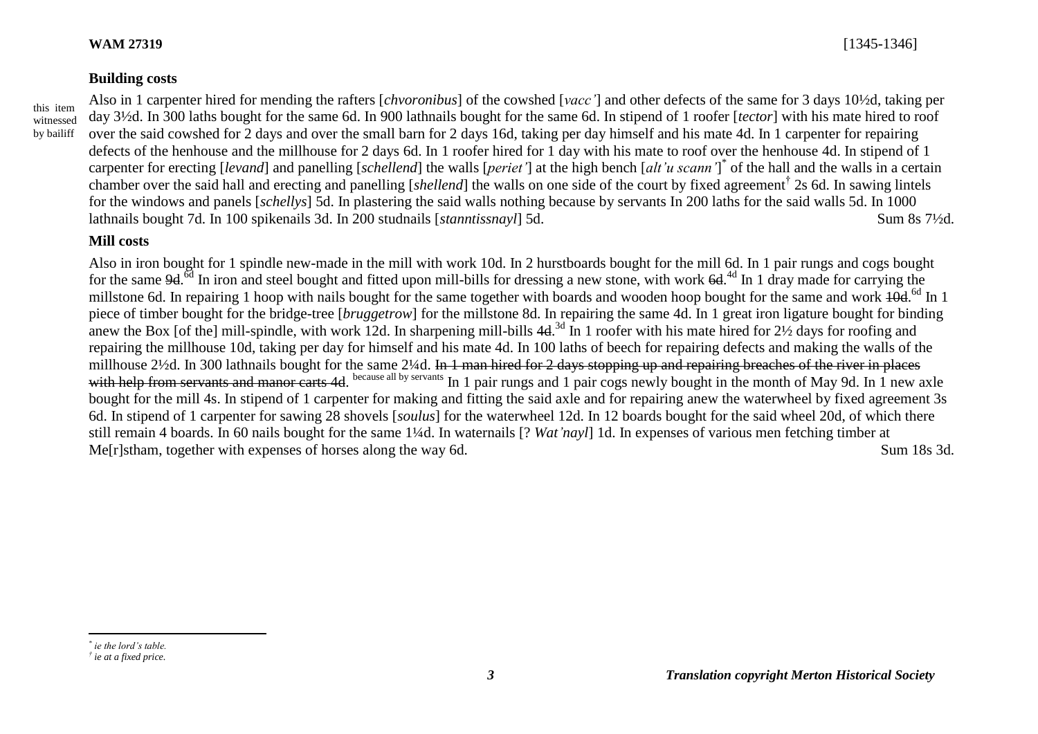#### **Building costs**

Also in 1 carpenter hired for mending the rafters [*chvoronibus*] of the cowshed [*vacc'*] and other defects of the same for 3 days 10½d, taking per day 3½d. In 300 laths bought for the same 6d. In 900 lathnails bought for the same 6d. In stipend of 1 roofer [*tector*] with his mate hired to roof over the said cowshed for 2 days and over the small barn for 2 days 16d, taking per day himself and his mate 4d. In 1 carpenter for repairing defects of the henhouse and the millhouse for 2 days 6d. In 1 roofer hired for 1 day with his mate to roof over the henhouse 4d. In stipend of 1 carpenter for erecting [*levand*] and panelling [*schellend*] the walls [*periet'*] at the high bench [*alt'u scann'*] \* of the hall and the walls in a certain chamber over the said hall and erecting and panelling [*shellend*] the walls on one side of the court by fixed agreement† 2s 6d. In sawing lintels for the windows and panels [*schellys*] 5d. In plastering the said walls nothing because by servants In 200 laths for the said walls 5d. In 1000 lathnails bought 7d. In 100 spikenails 3d. In 200 studnails [*stanntissnayl*] 5d. Sum 8s 7½d.

### **Mill costs**

Also in iron bought for 1 spindle new-made in the mill with work 10d. In 2 hurstboards bought for the mill 6d. In 1 pair rungs and cogs bought for the same 9d.<sup>6d</sup> In iron and steel bought and fitted upon mill-bills for dressing a new stone, with work 6d.<sup>4d</sup> In 1 dray made for carrying the millstone 6d. In repairing 1 hoop with nails bought for the same together with boards and wooden hoop bought for the same and work  $10d^{6d}$  In 1 piece of timber bought for the bridge-tree [*bruggetrow*] for the millstone 8d. In repairing the same 4d. In 1 great iron ligature bought for binding anew the Box [of the] mill-spindle, with work 12d. In sharpening mill-bills  $4d^{3d}$  In 1 roofer with his mate hired for  $2\frac{1}{2}$  days for roofing and repairing the millhouse 10d, taking per day for himself and his mate 4d. In 100 laths of beech for repairing defects and making the walls of the millhouse 2<sup>1</sup>/2d. In 300 lathnails bought for the same 2<sup>1</sup>/4d. In 1 man hired for 2 days stopping up and repairing breaches of the river in places with help from servants and manor carts 4d. because all by servants In 1 pair rungs and 1 pair cogs newly bought in the month of May 9d. In 1 new axle bought for the mill 4s. In stipend of 1 carpenter for making and fitting the said axle and for repairing anew the waterwheel by fixed agreement 3s 6d. In stipend of 1 carpenter for sawing 28 shovels [*soulus*] for the waterwheel 12d. In 12 boards bought for the said wheel 20d, of which there still remain 4 boards. In 60 nails bought for the same 1¼d. In waternails [? *Wat'nayl*] 1d. In expenses of various men fetching timber at Me[r]stham, together with expenses of horses along the way 6d. Sum 18s 3d.

 $\overline{a}$ 

*<sup>\*</sup> ie the lord's table.*

*<sup>†</sup> ie at a fixed price.*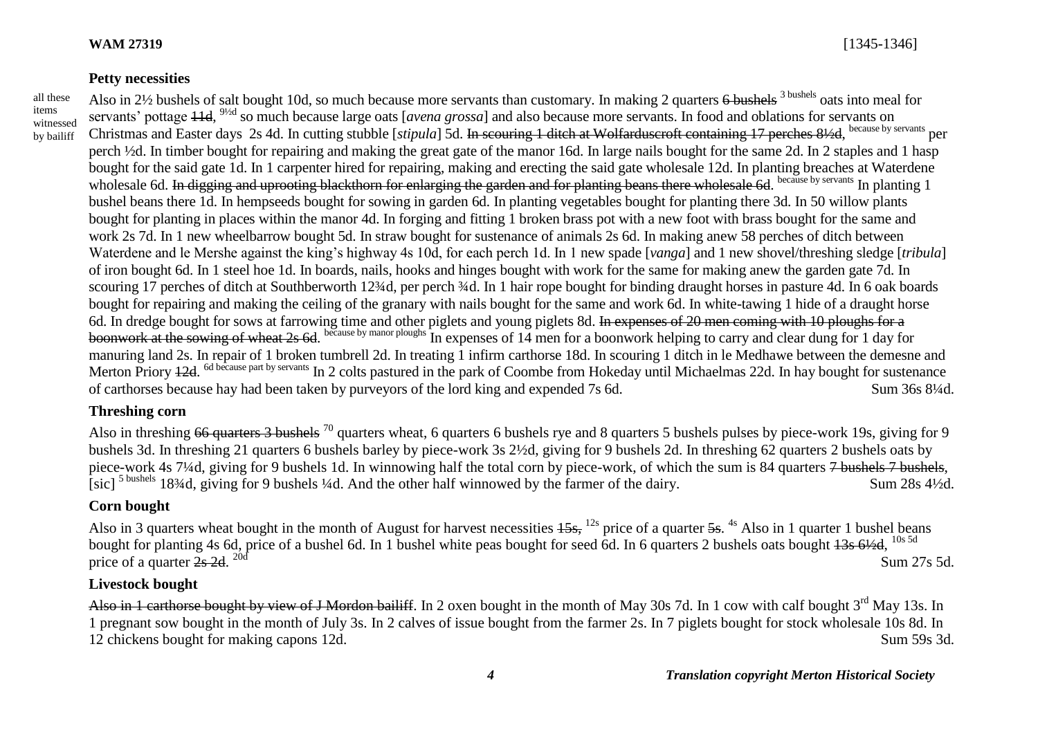### **Petty necessities**

all these items witnessed by bailiff

Also in 2½ bushels of salt bought 10d, so much because more servants than customary. In making 2 quarters 6 bushels <sup>3 bushels</sup> oats into meal for servants' pottage 11d, 9½d so much because large oats [*avena grossa*] and also because more servants. In food and oblations for servants on Christmas and Easter days 2s 4d. In cutting stubble [stipula] 5d. In scouring 1 ditch at Wolfarduscroft containing 17 perches 81/2d, because by servants per perch ½d. In timber bought for repairing and making the great gate of the manor 16d. In large nails bought for the same 2d. In 2 staples and 1 hasp bought for the said gate 1d. In 1 carpenter hired for repairing, making and erecting the said gate wholesale 12d. In planting breaches at Waterdene wholesale 6d. In digging and uprooting blackthorn for enlarging the garden and for planting beans there wholesale 6d. because by servants In planting 1 bushel beans there 1d. In hempseeds bought for sowing in garden 6d. In planting vegetables bought for planting there 3d. In 50 willow plants bought for planting in places within the manor 4d. In forging and fitting 1 broken brass pot with a new foot with brass bought for the same and work 2s 7d. In 1 new wheelbarrow bought 5d. In straw bought for sustenance of animals 2s 6d. In making anew 58 perches of ditch between Waterdene and le Mershe against the king's highway 4s 10d, for each perch 1d. In 1 new spade [*vanga*] and 1 new shovel/threshing sledge [*tribula*] of iron bought 6d. In 1 steel hoe 1d. In boards, nails, hooks and hinges bought with work for the same for making anew the garden gate 7d. In scouring 17 perches of ditch at Southberworth 12¼d, per perch ¼d. In 1 hair rope bought for binding draught horses in pasture 4d. In 6 oak boards bought for repairing and making the ceiling of the granary with nails bought for the same and work 6d. In white-tawing 1 hide of a draught horse 6d. In dredge bought for sows at farrowing time and other piglets and young piglets 8d. In expenses of 20 men coming with 10 ploughs for a boonwork at the sowing of wheat 2s 6d. because by manor ploughs In expenses of 14 men for a boonwork helping to carry and clear dung for 1 day for manuring land 2s. In repair of 1 broken tumbrell 2d. In treating 1 infirm carthorse 18d. In scouring 1 ditch in le Medhawe between the demesne and Merton Priory 42d. <sup>6d because part by servants</sup> In 2 colts pastured in the park of Coombe from Hokeday until Michaelmas 22d. In hay bought for sustenance of carthorses because hay had been taken by purveyors of the lord king and expended 7s 6d. Sum 36s 8¼d.

### **Threshing corn**

Also in threshing 66 quarters 3 bushels <sup>70</sup> quarters wheat, 6 quarters 6 bushels rye and 8 quarters 5 bushels pulses by piece-work 19s, giving for 9 bushels 3d. In threshing 21 quarters 6 bushels barley by piece-work 3s 2½d, giving for 9 bushels 2d. In threshing 62 quarters 2 bushels oats by piece-work 4s 7¼d, giving for 9 bushels 1d. In winnowing half the total corn by piece-work, of which the sum is 84 quarters 7 bushels 7 bushels, [sic]<sup>5 bushels</sup> 18<sup>3</sup>/4d, giving for 9 bushels <sup>1</sup>/4d. And the other half winnowed by the farmer of the dairy. Sum 28s 4<sup>1</sup>/2d.

### **Corn bought**

Also in 3 quarters wheat bought in the month of August for harvest necessities  $15s$ ,  $^{12s}$  price of a quarter  $5s$ .  $^{4s}$  Also in 1 quarter 1 bushel beans bought for planting 4s 6d, price of a bushel 6d. In 1 bushel white peas bought for seed 6d. In 6 quarters 2 bushels oats bought  $\frac{13564}{4356}$ ,  $\frac{10s5d}{24}$ price of a quarter  $2s$  2d. <sup>20d</sup>  $20d$  Sum 27s 5d.

# **Livestock bought**

Also in 1 carthorse bought by view of J Mordon bailiff. In 2 oxen bought in the month of May 30s 7d. In 1 cow with calf bought 3<sup>rd</sup> May 13s. In 1 pregnant sow bought in the month of July 3s. In 2 calves of issue bought from the farmer 2s. In 7 piglets bought for stock wholesale 10s 8d. In 12 chickens bought for making capons 12d. Sum 59s 3d.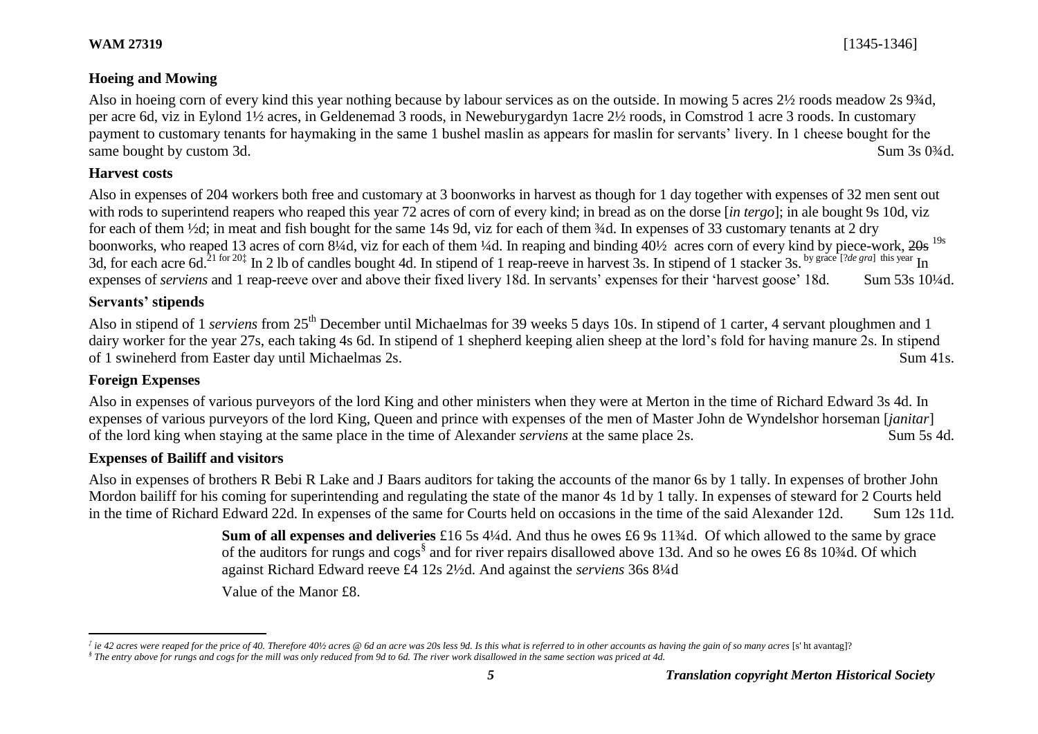# **Hoeing and Mowing**

Also in hoeing corn of every kind this year nothing because by labour services as on the outside. In mowing 5 acres 2½ roods meadow 2s 9¾d, per acre 6d, viz in Eylond 1½ acres, in Geldenemad 3 roods, in Neweburygardyn 1acre 2½ roods, in Comstrod 1 acre 3 roods. In customary payment to customary tenants for haymaking in the same 1 bushel maslin as appears for maslin for servants' livery. In 1 cheese bought for the same bought by custom 3d. Sum 3s 0<sup>3/4</sup>d.

# **Harvest costs**

Also in expenses of 204 workers both free and customary at 3 boonworks in harvest as though for 1 day together with expenses of 32 men sent out with rods to superintend reapers who reaped this year 72 acres of corn of every kind; in bread as on the dorse [*in tergo*]; in ale bought 9s 10d, viz for each of them ½d; in meat and fish bought for the same 14s 9d, viz for each of them ¼d. In expenses of 33 customary tenants at 2 dry boonworks, who reaped 13 acres of corn 8¼d, viz for each of them ¼d. In reaping and binding  $40\frac{1}{2}$  acres corn of every kind by piece-work.  $20s$  <sup>19s</sup> 3d, for each acre 6d.<sup>21 for 20‡</sup> In 2 lb of candles bought 4d. In stipend of 1 reap-reeve in harvest 3s. In stipend of 1 stacker 3s. by grace [?*de gra*] this year In expenses of *serviens* and 1 reap-reeve over and above their fixed livery 18d. In servants' expenses for their 'harvest goose' 18d. Sum 53s 10<sup>1</sup>/4d.

# **Servants' stipends**

Also in stipend of 1 *serviens* from 25<sup>th</sup> December until Michaelmas for 39 weeks 5 days 10s. In stipend of 1 carter, 4 servant ploughmen and 1 dairy worker for the year 27s, each taking 4s 6d. In stipend of 1 shepherd keeping alien sheep at the lord's fold for having manure 2s. In stipend of 1 swineherd from Easter day until Michaelmas 2s. Sum 41s.

# **Foreign Expenses**

Also in expenses of various purveyors of the lord King and other ministers when they were at Merton in the time of Richard Edward 3s 4d. In expenses of various purveyors of the lord King, Queen and prince with expenses of the men of Master John de Wyndelshor horseman [*janitar*] of the lord king when staying at the same place in the time of Alexander *serviens* at the same place 2s. Sum 5s 4d.

# **Expenses of Bailiff and visitors**

Also in expenses of brothers R Bebi R Lake and J Baars auditors for taking the accounts of the manor 6s by 1 tally. In expenses of brother John Mordon bailiff for his coming for superintending and regulating the state of the manor 4s 1d by 1 tally. In expenses of steward for 2 Courts held in the time of Richard Edward 22d. In expenses of the same for Courts held on occasions in the time of the said Alexander 12d. Sum 12s 11d.

> **Sum of all expenses and deliveries** £16 5s 4¼d. And thus he owes £6 9s 11¾d. Of which allowed to the same by grace of the auditors for rungs and cogs<sup>§</sup> and for river repairs disallowed above 13d. And so he owes £6 8s 10¾d. Of which against Richard Edward reeve £4 12s 2½d. And against the *serviens* 36s 8¼d Value of the Manor £8.

 $\overline{a}$ *‡ ie 42 acres were reaped for the price of 40. Therefore 40½ acres @ 6d an acre was 20s less 9d. Is this what is referred to in other accounts as having the gain of so many acres* [s' ht avantag]? *§ The entry above for rungs and cogs for the mill was only reduced from 9d to 6d. The river work disallowed in the same section was priced at 4d.*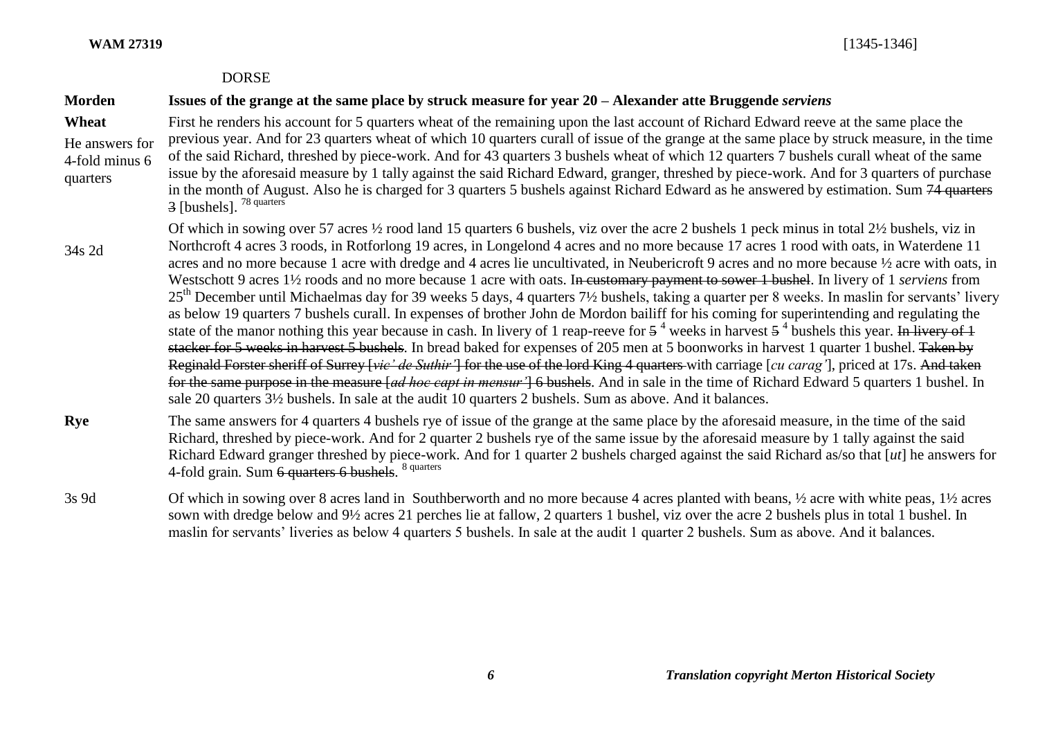#### DORSE

# **Morden Issues of the grange at the same place by struck measure for year 20 – Alexander atte Bruggende** *serviens*

- **Wheat** He answers for 4-fold minus 6 quarters First he renders his account for 5 quarters wheat of the remaining upon the last account of Richard Edward reeve at the same place the previous year. And for 23 quarters wheat of which 10 quarters curall of issue of the grange at the same place by struck measure, in the time of the said Richard, threshed by piece-work. And for 43 quarters 3 bushels wheat of which 12 quarters 7 bushels curall wheat of the same issue by the aforesaid measure by 1 tally against the said Richard Edward, granger, threshed by piece-work. And for 3 quarters of purchase in the month of August. Also he is charged for 3 quarters 5 bushels against Richard Edward as he answered by estimation. Sum 74 quarters 3 [bushels]. <sup>78 quarters</sup>
- 34s 2d Of which in sowing over 57 acres ½ rood land 15 quarters 6 bushels, viz over the acre 2 bushels 1 peck minus in total 2½ bushels, viz in Northcroft 4 acres 3 roods, in Rotforlong 19 acres, in Longelond 4 acres and no more because 17 acres 1 rood with oats, in Waterdene 11 acres and no more because 1 acre with dredge and 4 acres lie uncultivated, in Neubericroft 9 acres and no more because ½ acre with oats, in Westschott 9 acres 1½ roods and no more because 1 acre with oats. In customary payment to sower 1 bushel. In livery of 1 *serviens* from 25<sup>th</sup> December until Michaelmas day for 39 weeks 5 days, 4 quarters 7½ bushels, taking a quarter per 8 weeks. In maslin for servants' livery as below 19 quarters 7 bushels curall. In expenses of brother John de Mordon bailiff for his coming for superintending and regulating the state of the manor nothing this year because in cash. In livery of 1 reap-reeve for  $5<sup>4</sup>$  weeks in harvest  $5<sup>4</sup>$  bushels this year. In livery of 1 stacker for 5 weeks in harvest 5 bushels. In bread baked for expenses of 205 men at 5 boonworks in harvest 1 quarter 1 bushel. Taken by Reginald Forster sheriff of Surrey [*vic' de Suthir'*] for the use of the lord King 4 quarters with carriage [*cu carag'*], priced at 17s. And taken for the same purpose in the measure [*ad hoc capt in mensur'*] 6 bushels. And in sale in the time of Richard Edward 5 quarters 1 bushel. In sale 20 quarters 3½ bushels. In sale at the audit 10 quarters 2 bushels. Sum as above. And it balances.
- **Rye** The same answers for 4 quarters 4 bushels rye of issue of the grange at the same place by the aforesaid measure, in the time of the said Richard, threshed by piece-work. And for 2 quarter 2 bushels rye of the same issue by the aforesaid measure by 1 tally against the said Richard Edward granger threshed by piece-work. And for 1 quarter 2 bushels charged against the said Richard as/so that [*ut*] he answers for 4-fold grain. Sum 6 quarters 6 bushels. <sup>8 quarters</sup>
- 3s 9d Of which in sowing over 8 acres land in Southberworth and no more because 4 acres planted with beans, ½ acre with white peas, 1½ acres sown with dredge below and 9½ acres 21 perches lie at fallow, 2 quarters 1 bushel, viz over the acre 2 bushels plus in total 1 bushel. In maslin for servants' liveries as below 4 quarters 5 bushels. In sale at the audit 1 quarter 2 bushels. Sum as above. And it balances.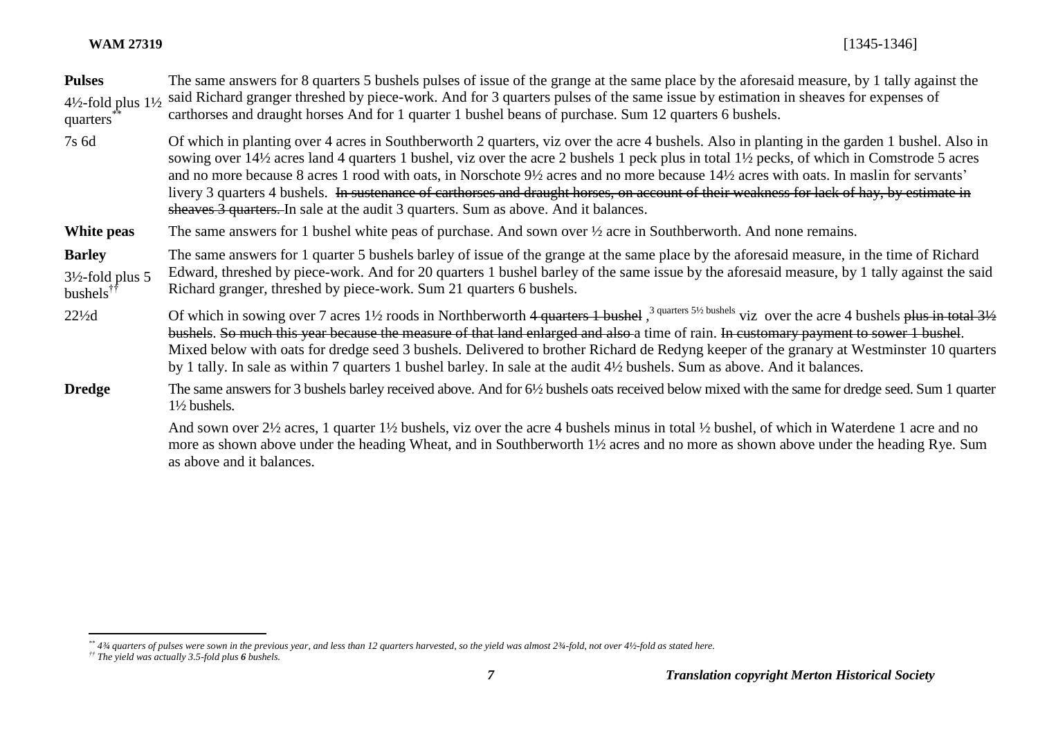| <b>Pulses</b><br>$4\frac{1}{2}$ -fold plus $1\frac{1}{2}$<br>quarters | The same answers for 8 quarters 5 bushels pulses of issue of the grange at the same place by the aforesaid measure, by 1 tally against the<br>said Richard granger threshed by piece-work. And for 3 quarters pulses of the same issue by estimation in sheaves for expenses of<br>carthorses and draught horses And for 1 quarter 1 bushel beans of purchase. Sum 12 quarters 6 bushels.                                                                                                                                                                                                                                                                                                    |
|-----------------------------------------------------------------------|----------------------------------------------------------------------------------------------------------------------------------------------------------------------------------------------------------------------------------------------------------------------------------------------------------------------------------------------------------------------------------------------------------------------------------------------------------------------------------------------------------------------------------------------------------------------------------------------------------------------------------------------------------------------------------------------|
| 7s 6d                                                                 | Of which in planting over 4 acres in Southberworth 2 quarters, viz over the acre 4 bushels. Also in planting in the garden 1 bushel. Also in<br>sowing over 14½ acres land 4 quarters 1 bushel, viz over the acre 2 bushels 1 peck plus in total 1½ pecks, of which in Comstrode 5 acres<br>and no more because 8 acres 1 rood with oats, in Norschote $9\frac{1}{2}$ acres and no more because $14\frac{1}{2}$ acres with oats. In maslin for servants'<br>livery 3 quarters 4 bushels. In sustenance of carthorses and draught horses, on account of their weakness for lack of hay, by estimate in<br>sheaves 3 quarters. In sale at the audit 3 quarters. Sum as above. And it balances. |
| White peas                                                            | The same answers for 1 bushel white peas of purchase. And sown over $\frac{1}{2}$ acre in Southberworth. And none remains.                                                                                                                                                                                                                                                                                                                                                                                                                                                                                                                                                                   |
| <b>Barley</b><br>$3\frac{1}{2}$ -fold plus 5<br>bushels <sup>††</sup> | The same answers for 1 quarter 5 bushels barley of issue of the grange at the same place by the aforesaid measure, in the time of Richard<br>Edward, threshed by piece-work. And for 20 quarters 1 bushel barley of the same issue by the aforesaid measure, by 1 tally against the said<br>Richard granger, threshed by piece-work. Sum 21 quarters 6 bushels.                                                                                                                                                                                                                                                                                                                              |
| $22\frac{1}{2}d$                                                      | Of which in sowing over 7 acres 1 <sup>1</sup> / <sub>2</sub> roods in Northberworth 4 quarters 1 bushel, $3$ quarters 5 <sup>1/2</sup> bushels viz over the acre 4 bushels plus in total 3 <sup>1/2</sup><br>bushels. So much this year because the measure of that land enlarged and also a time of rain. In customary payment to sower 1 bushel.<br>Mixed below with oats for dredge seed 3 bushels. Delivered to brother Richard de Redyng keeper of the granary at Westminster 10 quarters<br>by 1 tally. In sale as within 7 quarters 1 bushel barley. In sale at the audit 4½ bushels. Sum as above. And it balances.                                                                 |
| <b>Dredge</b>                                                         | The same answers for 3 bushels barley received above. And for 6½ bushels oats received below mixed with the same for dredge seed. Sum 1 quarter<br>$1\frac{1}{2}$ bushels.                                                                                                                                                                                                                                                                                                                                                                                                                                                                                                                   |
|                                                                       | And sown over 2½ acres, 1 quarter 1½ bushels, viz over the acre 4 bushels minus in total ½ bushel, of which in Waterdene 1 acre and no<br>more as shown above under the heading Wheat, and in Southberworth 1½ acres and no more as shown above under the heading Rye. Sum<br>as above and it balances.                                                                                                                                                                                                                                                                                                                                                                                      |

 $\overline{a}$ *\*\* 4¾ quarters of pulses were sown in the previous year, and less than 12 quarters harvested, so the yield was almost 2¾-fold, not over 4½-fold as stated here.*

*<sup>††</sup> The yield was actually 3.5-fold plus 6 bushels.*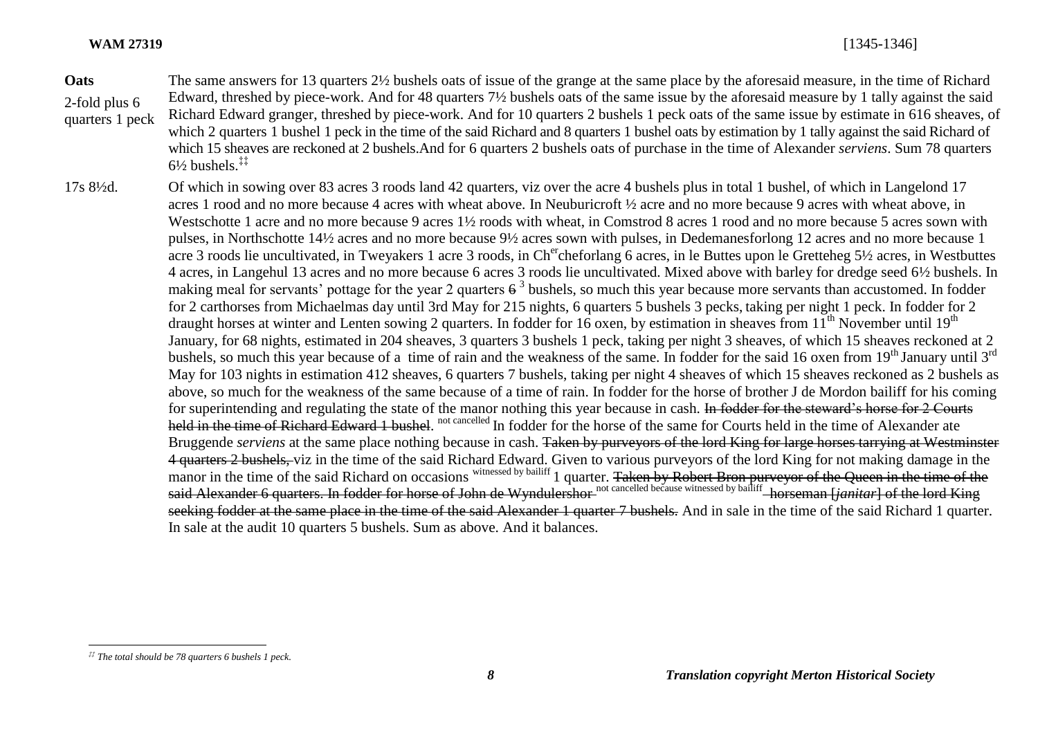**Oats** 2-fold plus 6 quarters 1 peck The same answers for 13 quarters 2½ bushels oats of issue of the grange at the same place by the aforesaid measure, in the time of Richard Edward, threshed by piece-work. And for 48 quarters 7½ bushels oats of the same issue by the aforesaid measure by 1 tally against the said Richard Edward granger, threshed by piece-work. And for 10 quarters 2 bushels 1 peck oats of the same issue by estimate in 616 sheaves, of which 2 quarters 1 bushel 1 peck in the time of the said Richard and 8 quarters 1 bushel oats by estimation by 1 tally against the said Richard of which 15 sheaves are reckoned at 2 bushels.And for 6 quarters 2 bushels oats of purchase in the time of Alexander *serviens*. Sum 78 quarters  $6\frac{1}{2}$  bushels  $\ddagger$ 

17s 8½d. Of which in sowing over 83 acres 3 roods land 42 quarters, viz over the acre 4 bushels plus in total 1 bushel, of which in Langelond 17 acres 1 rood and no more because 4 acres with wheat above. In Neuburicroft ½ acre and no more because 9 acres with wheat above, in Westschotte 1 acre and no more because 9 acres 1<sup>1</sup>/<sub>2</sub> roods with wheat, in Comstrod 8 acres 1 rood and no more because 5 acres sown with pulses, in Northschotte 14½ acres and no more because 9½ acres sown with pulses, in Dedemanesforlong 12 acres and no more because 1 acre 3 roods lie uncultivated, in Tweyakers 1 acre 3 roods, in Ch<sup>er</sup>cheforlang 6 acres, in le Buttes upon le Gretteheg 5½ acres, in Westbuttes 4 acres, in Langehul 13 acres and no more because 6 acres 3 roods lie uncultivated. Mixed above with barley for dredge seed 6½ bushels. In making meal for servants' pottage for the year 2 quarters  $6^3$  bushels, so much this year because more servants than accustomed. In fodder for 2 carthorses from Michaelmas day until 3rd May for 215 nights, 6 quarters 5 bushels 3 pecks, taking per night 1 peck. In fodder for 2 draught horses at winter and Lenten sowing 2 quarters. In fodder for 16 oxen, by estimation in sheaves from  $11<sup>th</sup>$  November until  $19<sup>th</sup>$ January, for 68 nights, estimated in 204 sheaves, 3 quarters 3 bushels 1 peck, taking per night 3 sheaves, of which 15 sheaves reckoned at 2 bushels, so much this year because of a time of rain and the weakness of the same. In fodder for the said 16 oxen from 19<sup>th</sup> January until 3<sup>rd</sup> May for 103 nights in estimation 412 sheaves, 6 quarters 7 bushels, taking per night 4 sheaves of which 15 sheaves reckoned as 2 bushels as above, so much for the weakness of the same because of a time of rain. In fodder for the horse of brother J de Mordon bailiff for his coming for superintending and regulating the state of the manor nothing this year because in cash. In fodder for the steward's horse for 2 Courts held in the time of Richard Edward 1 bushel. not cancelled In fodder for the horse of the same for Courts held in the time of Alexander ate Bruggende *serviens* at the same place nothing because in cash. Taken by purveyors of the lord King for large horses tarrying at Westminster 4 quarters 2 bushels, viz in the time of the said Richard Edward. Given to various purveyors of the lord King for not making damage in the manor in the time of the said Richard on occasions witnessed by bailiff 1 quarter. Taken by Robert Bron purveyor of the Queen in the time of the said Alexander 6 quarters. In fodder for horse of John de Wyndulershor not cancelled because witnessed by bailiff horseman [*janitar*] of the lord King seeking fodder at the same place in the time of the said Alexander 1 quarter 7 bushels. And in sale in the time of the said Richard 1 quarter. In sale at the audit 10 quarters 5 bushels. Sum as above. And it balances.

*<sup>‡‡</sup> The total should be 78 quarters 6 bushels 1 peck.*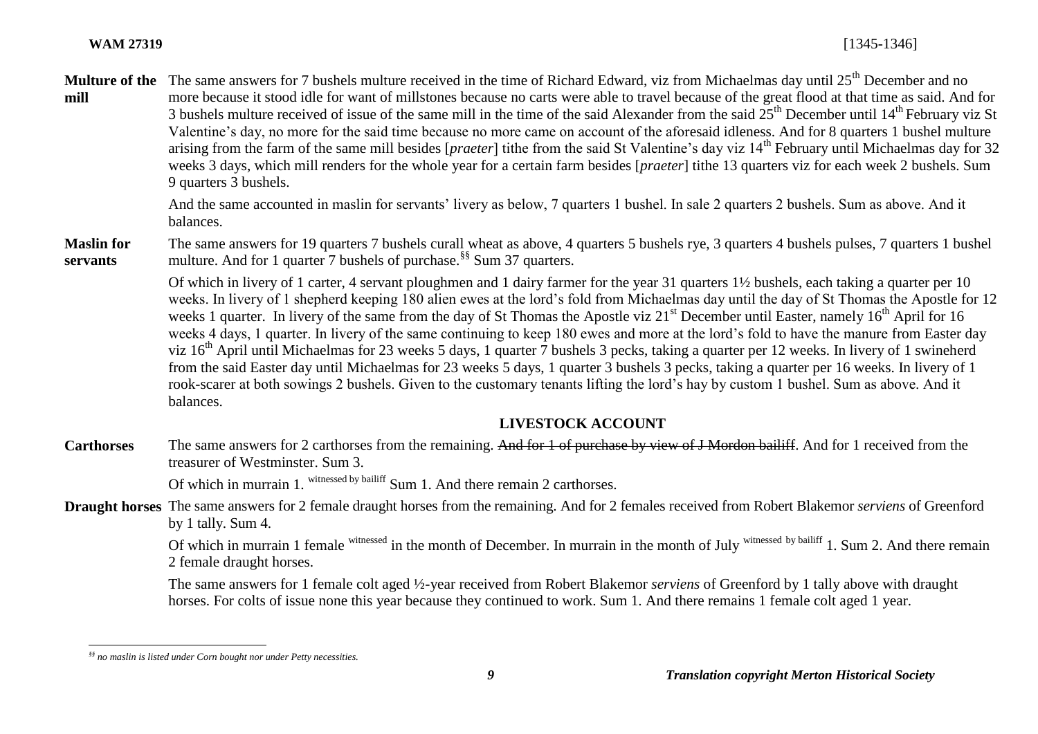Multure of the The same answers for 7 bushels multure received in the time of Richard Edward, viz from Michaelmas day until 25<sup>th</sup> December and no **mill** more because it stood idle for want of millstones because no carts were able to travel because of the great flood at that time as said. And for 3 bushels multure received of issue of the same mill in the time of the said Alexander from the said  $25<sup>th</sup>$  December until  $14<sup>th</sup>$  February viz St Valentine's day, no more for the said time because no more came on account of the aforesaid idleness. And for 8 quarters 1 bushel multure arising from the farm of the same mill besides [*praeter*] tithe from the said St Valentine's day viz 14th February until Michaelmas day for 32 weeks 3 days, which mill renders for the whole year for a certain farm besides [*praeter*] tithe 13 quarters viz for each week 2 bushels. Sum 9 quarters 3 bushels.

> And the same accounted in maslin for servants' livery as below, 7 quarters 1 bushel. In sale 2 quarters 2 bushels. Sum as above. And it balances.

**Maslin for servants** The same answers for 19 quarters 7 bushels curall wheat as above, 4 quarters 5 bushels rye, 3 quarters 4 bushels pulses, 7 quarters 1 bushel multure. And for 1 quarter 7 bushels of purchase.<sup>§§</sup> Sum 37 quarters.

> Of which in livery of 1 carter, 4 servant ploughmen and 1 dairy farmer for the year 31 quarters 1½ bushels, each taking a quarter per 10 weeks. In livery of 1 shepherd keeping 180 alien ewes at the lord's fold from Michaelmas day until the day of St Thomas the Apostle for 12 weeks 1 quarter. In livery of the same from the day of St Thomas the Apostle viz 21<sup>st</sup> December until Easter, namely 16<sup>th</sup> April for 16 weeks 4 days, 1 quarter. In livery of the same continuing to keep 180 ewes and more at the lord's fold to have the manure from Easter day viz  $16<sup>th</sup>$  April until Michaelmas for 23 weeks 5 days, 1 quarter 7 bushels 3 pecks, taking a quarter per 12 weeks. In livery of 1 swineherd from the said Easter day until Michaelmas for 23 weeks 5 days, 1 quarter 3 bushels 3 pecks, taking a quarter per 16 weeks. In livery of 1 rook-scarer at both sowings 2 bushels. Given to the customary tenants lifting the lord's hay by custom 1 bushel. Sum as above. And it balances.

# **LIVESTOCK ACCOUNT**

**Carthorses** The same answers for 2 carthorses from the remaining. And for 1 of purchase by view of J Mordon bailiff. And for 1 received from the treasurer of Westminster. Sum 3.

Of which in murrain 1. witnessed by bailiff Sum 1. And there remain 2 carthorses.

**Draught horses** The same answers for 2 female draught horses from the remaining. And for 2 females received from Robert Blakemor *serviens* of Greenford by 1 tally. Sum 4.

> Of which in murrain 1 female witnessed in the month of December. In murrain in the month of July witnessed by bailiff 1. Sum 2. And there remain 2 female draught horses.

The same answers for 1 female colt aged ½-year received from Robert Blakemor *serviens* of Greenford by 1 tally above with draught horses. For colts of issue none this year because they continued to work. Sum 1. And there remains 1 female colt aged 1 year.

*<sup>§§</sup> no maslin is listed under Corn bought nor under Petty necessities.*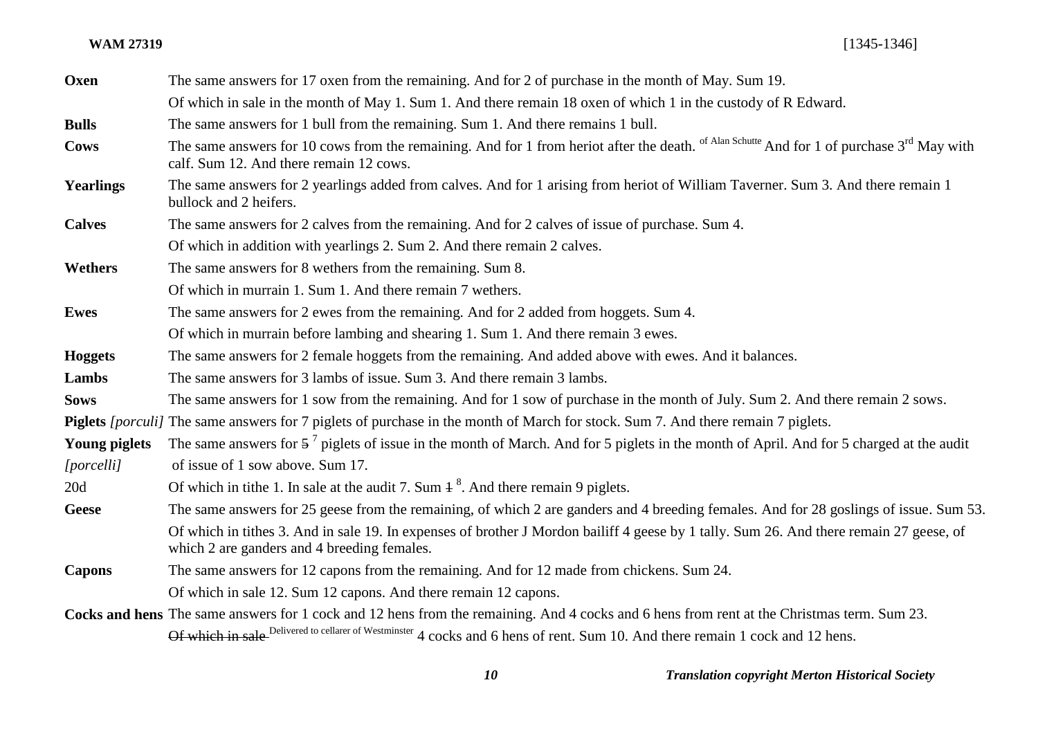**WAM 27319** [1345-1346]

| Oxen                 | The same answers for 17 oxen from the remaining. And for 2 of purchase in the month of May. Sum 19.                                                                                                          |
|----------------------|--------------------------------------------------------------------------------------------------------------------------------------------------------------------------------------------------------------|
|                      | Of which in sale in the month of May 1. Sum 1. And there remain 18 oxen of which 1 in the custody of R Edward.                                                                                               |
| <b>Bulls</b>         | The same answers for 1 bull from the remaining. Sum 1. And there remains 1 bull.                                                                                                                             |
| <b>Cows</b>          | The same answers for 10 cows from the remaining. And for 1 from heriot after the death. <sup>of Alan Schutte</sup> And for 1 of purchase 3 <sup>rd</sup> May with<br>calf. Sum 12. And there remain 12 cows. |
| <b>Yearlings</b>     | The same answers for 2 yearlings added from calves. And for 1 arising from heriot of William Taverner. Sum 3. And there remain 1<br>bullock and 2 heifers.                                                   |
| <b>Calves</b>        | The same answers for 2 calves from the remaining. And for 2 calves of issue of purchase. Sum 4.                                                                                                              |
|                      | Of which in addition with yearlings 2. Sum 2. And there remain 2 calves.                                                                                                                                     |
| Wethers              | The same answers for 8 wethers from the remaining. Sum 8.                                                                                                                                                    |
|                      | Of which in murrain 1. Sum 1. And there remain 7 wethers.                                                                                                                                                    |
| <b>Ewes</b>          | The same answers for 2 ewes from the remaining. And for 2 added from hoggets. Sum 4.                                                                                                                         |
|                      | Of which in murrain before lambing and shearing 1. Sum 1. And there remain 3 ewes.                                                                                                                           |
| <b>Hoggets</b>       | The same answers for 2 female hoggets from the remaining. And added above with ewes. And it balances.                                                                                                        |
| Lambs                | The same answers for 3 lambs of issue. Sum 3. And there remain 3 lambs.                                                                                                                                      |
| <b>Sows</b>          | The same answers for 1 sow from the remaining. And for 1 sow of purchase in the month of July. Sum 2. And there remain 2 sows.                                                                               |
|                      | Piglets <i>[porculi]</i> The same answers for 7 piglets of purchase in the month of March for stock. Sum 7. And there remain 7 piglets.                                                                      |
| <b>Young piglets</b> | The same answers for $5^7$ piglets of issue in the month of March. And for 5 piglets in the month of April. And for 5 charged at the audit                                                                   |
| [porcelli]           | of issue of 1 sow above. Sum 17.                                                                                                                                                                             |
| 20d                  | Of which in tithe 1. In sale at the audit 7. Sum $4^8$ . And there remain 9 piglets.                                                                                                                         |
| <b>Geese</b>         | The same answers for 25 geese from the remaining, of which 2 are ganders and 4 breeding females. And for 28 goslings of issue. Sum 53.                                                                       |
|                      | Of which in tithes 3. And in sale 19. In expenses of brother J Mordon bailiff 4 geese by 1 tally. Sum 26. And there remain 27 geese, of<br>which 2 are ganders and 4 breeding females.                       |
| <b>Capons</b>        | The same answers for 12 capons from the remaining. And for 12 made from chickens. Sum 24.                                                                                                                    |
|                      | Of which in sale 12. Sum 12 capons. And there remain 12 capons.                                                                                                                                              |
|                      | Cocks and hens The same answers for 1 cock and 12 hens from the remaining. And 4 cocks and 6 hens from rent at the Christmas term. Sum 23.                                                                   |
|                      | Of which in sale Delivered to cellarer of Westminster 4 cocks and 6 hens of rent. Sum 10. And there remain 1 cock and 12 hens.                                                                               |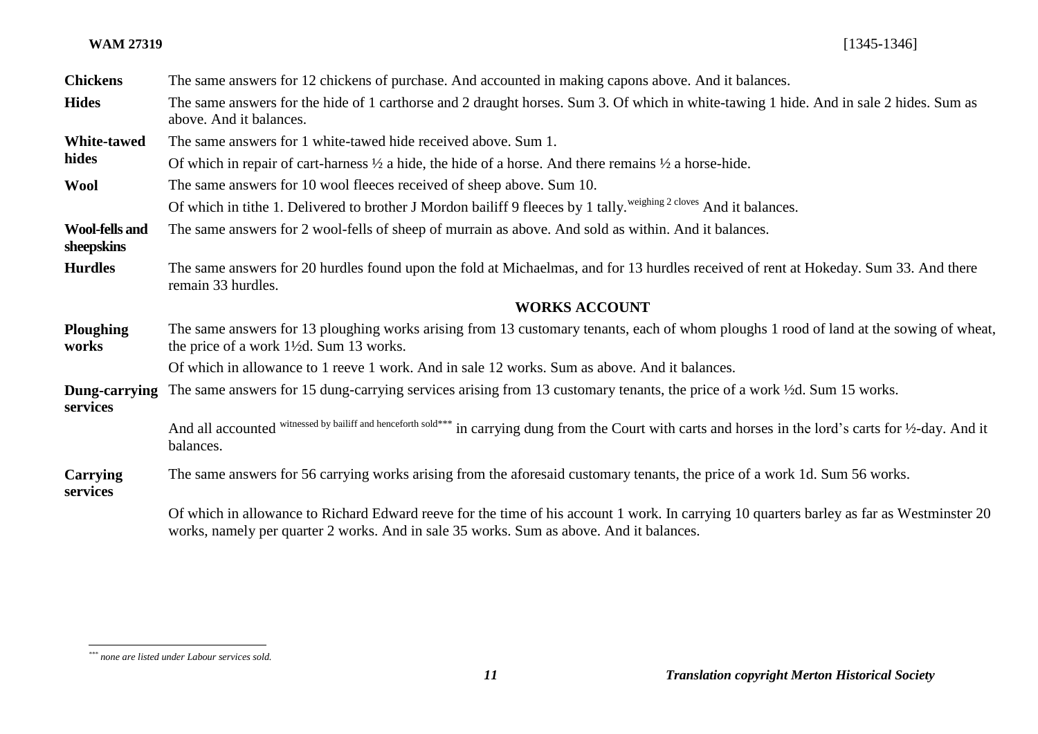#### **WAM 27319** [1345-1346]

| <b>Chickens</b>                     | The same answers for 12 chickens of purchase. And accounted in making capons above. And it balances.                                                                                                                                 |
|-------------------------------------|--------------------------------------------------------------------------------------------------------------------------------------------------------------------------------------------------------------------------------------|
| <b>Hides</b>                        | The same answers for the hide of 1 carthorse and 2 draught horses. Sum 3. Of which in white-tawing 1 hide. And in sale 2 hides. Sum as<br>above. And it balances.                                                                    |
| <b>White-tawed</b><br>hides         | The same answers for 1 white-tawed hide received above. Sum 1.                                                                                                                                                                       |
|                                     | Of which in repair of cart-harness $\frac{1}{2}$ a hide, the hide of a horse. And there remains $\frac{1}{2}$ a horse-hide.                                                                                                          |
| <b>Wool</b>                         | The same answers for 10 wool fleeces received of sheep above. Sum 10.                                                                                                                                                                |
|                                     | Of which in tithe 1. Delivered to brother J Mordon bailiff 9 fleeces by 1 tally. <sup>weighing 2 cloves</sup> And it balances.                                                                                                       |
| <b>Wool-fells and</b><br>sheepskins | The same answers for 2 wool-fells of sheep of murrain as above. And sold as within. And it balances.                                                                                                                                 |
| <b>Hurdles</b>                      | The same answers for 20 hurdles found upon the fold at Michaelmas, and for 13 hurdles received of rent at Hokeday. Sum 33. And there<br>remain 33 hurdles.                                                                           |
|                                     | <b>WORKS ACCOUNT</b>                                                                                                                                                                                                                 |
| <b>Ploughing</b><br>works           | The same answers for 13 ploughing works arising from 13 customary tenants, each of whom ploughs 1 rood of land at the sowing of wheat,<br>the price of a work 1 <sup>1</sup> / <sub>2</sub> d. Sum 13 works.                         |
|                                     | Of which in allowance to 1 reeve 1 work. And in sale 12 works. Sum as above. And it balances.                                                                                                                                        |
| Dung-carrying<br>services           | The same answers for 15 dung-carrying services arising from 13 customary tenants, the price of a work ½d. Sum 15 works.                                                                                                              |
|                                     | And all accounted witnessed by bailiff and henceforth sold*** in carrying dung from the Court with carts and horses in the lord's carts for 1/2-day. And it<br>balances.                                                             |
| <b>Carrying</b><br>services         | The same answers for 56 carrying works arising from the aforesaid customary tenants, the price of a work 1d. Sum 56 works.                                                                                                           |
|                                     | Of which in allowance to Richard Edward reeve for the time of his account 1 work. In carrying 10 quarters barley as far as Westminster 20<br>works, namely per quarter 2 works. And in sale 35 works. Sum as above. And it balances. |

*<sup>\*\*\*</sup> none are listed under Labour services sold.*